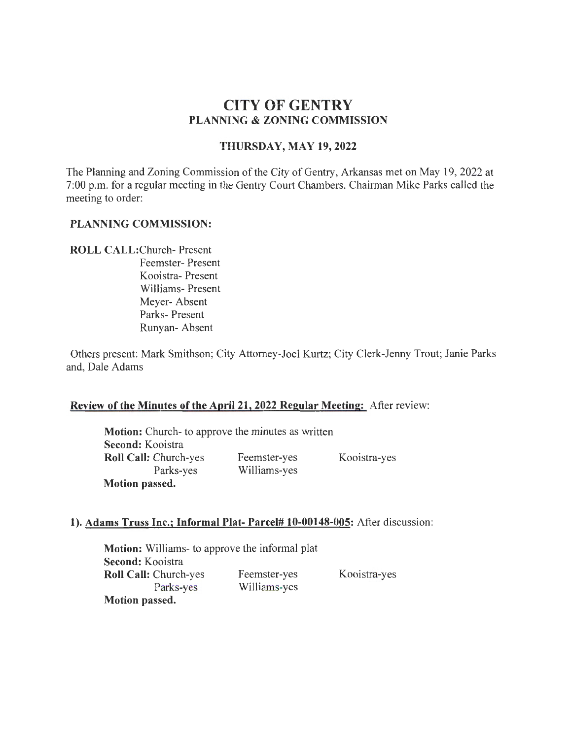# **CITY OF GENTRY PLANNING & ZONING COMMISSION**

## **THURSDAY, MAY 19,2022**

The Planning and Zoning Commission of the City of Gentry, Arkansas met on May 19, 2022 at 7:00 p.m. for a regular meeting in the Gentry Court Chambers. Chairman Mike Parks called the meeting to order:

## **PLANNING COMMISSION:**

## **ROLL** CALL:Church- Present

Feemster- Present Kooistra- Present Williams- Present Meyer- Absent Parks- Present Runyan- Absent

Others present: Mark Smithson; City Attorney-Joel Kurtz; City Clerk-Jenny Trout; Janie Parks and, Dale Adams

### **Review of the Minutes of the April21, 2022 Regular Meeting:** After review:

**Motion:** Church- to approve the minutes as written **Second:** Kooistra **Roll Call:** Church-yes Feemster-yes Kooistra-yes Parks-yes Williams-yes **Motion passed.** 

### **1). Adams Truss Inc.; Informal Plat- Parcel# 10-00148-005:** After discussion:

**Motion:** Williams- to approve the informal plat **Second:** Kooistra **Roll Call:** Church-yes Parks-yes **Motion passed.**  Feemster-yes Williams-yes

Koois<sub>ra-yes</sub>